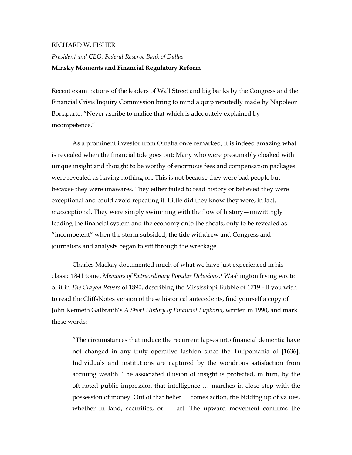## RICHARD W. FISHER

*President and CEO, Federal Reserve Bank of Dallas* **Minsky Moments and Financial Regulatory Reform**

Recent examinations of the leaders of Wall Street and big banks by the Congress and the Financial Crisis Inquiry Commission bring to mind a quip reputedly made by Napoleon Bonaparte: "Never ascribe to malice that which is adequately explained by incompetence."

As a prominent investor from Omaha once remarked, it is indeed amazing what is revealed when the financial tide goes out: Many who were presumably cloaked with unique insight and thought to be worthy of enormous fees and compensation packages were revealed as having nothing on. This is not because they were bad people but because they were unawares. They either failed to read history or believed they were exceptional and could avoid repeating it. Little did they know they were, in fact, *un*exceptional. They were simply swimming with the flow of history—unwittingly leading the financial system and the economy onto the shoals, only to be revealed as "incompetent" when the storm subsided, the tide withdrew and Congress and journalists and analysts began to sift through the wreckage.

Charles Mackay documented much of what we have just experienced in his classic 1841 tome, *Memoirs of Extraordinary Popular Delusions*.1 Washington Irving wrote of it in *The Crayon Papers* of 1890, describing the Mississippi Bubble of 1719.2 If you wish to read the CliffsNotes version of these historical antecedents, find yourself a copy of John Kenneth Galbraith's *A Short History of Financial Euphoria*, written in 1990, and mark these words:

"The circumstances that induce the recurrent lapses into financial dementia have not changed in any truly operative fashion since the Tulipomania of [1636]. Individuals and institutions are captured by the wondrous satisfaction from accruing wealth. The associated illusion of insight is protected, in turn, by the oft-noted public impression that intelligence … marches in close step with the possession of money. Out of that belief … comes action, the bidding up of values, whether in land, securities, or … art. The upward movement confirms the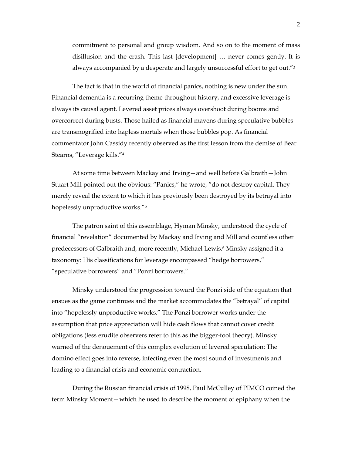commitment to personal and group wisdom. And so on to the moment of mass disillusion and the crash. This last [development] … never comes gently. It is always accompanied by a desperate and largely unsuccessful effort to get out."3

The fact is that in the world of financial panics, nothing is new under the sun. Financial dementia is a recurring theme throughout history, and excessive leverage is always its causal agent. Levered asset prices always overshoot during booms and overcorrect during busts. Those hailed as financial mavens during speculative bubbles are transmogrified into hapless mortals when those bubbles pop. As financial commentator John Cassidy recently observed as the first lesson from the demise of Bear Stearns, "Leverage kills."4

At some time between Mackay and Irving—and well before Galbraith—John Stuart Mill pointed out the obvious: "Panics," he wrote, "do not destroy capital. They merely reveal the extent to which it has previously been destroyed by its betrayal into hopelessly unproductive works."5

The patron saint of this assemblage, Hyman Minsky, understood the cycle of financial "revelation" documented by Mackay and Irving and Mill and countless other predecessors of Galbraith and, more recently, Michael Lewis.6 Minsky assigned it a taxonomy: His classifications for leverage encompassed "hedge borrowers," "speculative borrowers" and "Ponzi borrowers."

Minsky understood the progression toward the Ponzi side of the equation that ensues as the game continues and the market accommodates the "betrayal" of capital into "hopelessly unproductive works." The Ponzi borrower works under the assumption that price appreciation will hide cash flows that cannot cover credit obligations (less erudite observers refer to this as the bigger-fool theory). Minsky warned of the denouement of this complex evolution of levered speculation: The domino effect goes into reverse, infecting even the most sound of investments and leading to a financial crisis and economic contraction.

During the Russian financial crisis of 1998, Paul McCulley of PIMCO coined the term Minsky Moment—which he used to describe the moment of epiphany when the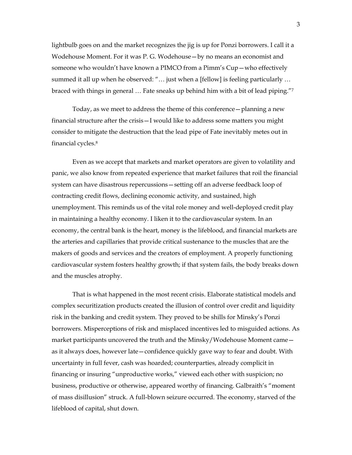lightbulb goes on and the market recognizes the jig is up for Ponzi borrowers. I call it a Wodehouse Moment. For it was P. G. Wodehouse—by no means an economist and someone who wouldn't have known a PIMCO from a Pimm's Cup—who effectively summed it all up when he observed: "... just when a [fellow] is feeling particularly ... braced with things in general … Fate sneaks up behind him with a bit of lead piping."7

Today, as we meet to address the theme of this conference—planning a new financial structure after the crisis—I would like to address some matters you might consider to mitigate the destruction that the lead pipe of Fate inevitably metes out in financial cycles.8

Even as we accept that markets and market operators are given to volatility and panic, we also know from repeated experience that market failures that roil the financial system can have disastrous repercussions—setting off an adverse feedback loop of contracting credit flows, declining economic activity, and sustained, high unemployment. This reminds us of the vital role money and well-deployed credit play in maintaining a healthy economy. I liken it to the cardiovascular system. In an economy, the central bank is the heart, money is the lifeblood, and financial markets are the arteries and capillaries that provide critical sustenance to the muscles that are the makers of goods and services and the creators of employment. A properly functioning cardiovascular system fosters healthy growth; if that system fails, the body breaks down and the muscles atrophy.

That is what happened in the most recent crisis. Elaborate statistical models and complex securitization products created the illusion of control over credit and liquidity risk in the banking and credit system. They proved to be shills for Minsky's Ponzi borrowers. Misperceptions of risk and misplaced incentives led to misguided actions. As market participants uncovered the truth and the Minsky/Wodehouse Moment came as it always does, however late—confidence quickly gave way to fear and doubt. With uncertainty in full fever, cash was hoarded; counterparties, already complicit in financing or insuring "unproductive works," viewed each other with suspicion; no business, productive or otherwise, appeared worthy of financing. Galbraith's "moment of mass disillusion" struck. A full-blown seizure occurred. The economy, starved of the lifeblood of capital, shut down.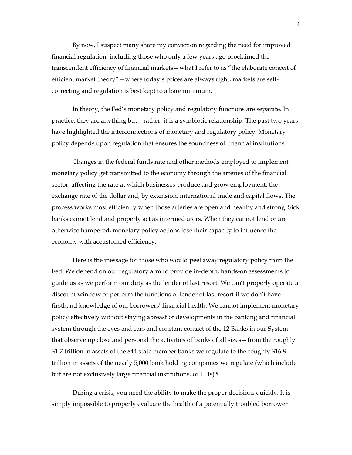By now, I suspect many share my conviction regarding the need for improved financial regulation, including those who only a few years ago proclaimed the transcendent efficiency of financial markets—what I refer to as "the elaborate conceit of efficient market theory"—where today's prices are always right, markets are selfcorrecting and regulation is best kept to a bare minimum.

In theory, the Fed's monetary policy and regulatory functions are separate. In practice, they are anything but—rather, it is a symbiotic relationship. The past two years have highlighted the interconnections of monetary and regulatory policy: Monetary policy depends upon regulation that ensures the soundness of financial institutions.

Changes in the federal funds rate and other methods employed to implement monetary policy get transmitted to the economy through the arteries of the financial sector, affecting the rate at which businesses produce and grow employment, the exchange rate of the dollar and, by extension, international trade and capital flows. The process works most efficiently when those arteries are open and healthy and strong. Sick banks cannot lend and properly act as intermediators. When they cannot lend or are otherwise hampered, monetary policy actions lose their capacity to influence the economy with accustomed efficiency.

Here is the message for those who would peel away regulatory policy from the Fed: We depend on our regulatory arm to provide in-depth, hands-on assessments to guide us as we perform our duty as the lender of last resort. We can't properly operate a discount window or perform the functions of lender of last resort if we don't have firsthand knowledge of our borrowers' financial health. We cannot implement monetary policy effectively without staying abreast of developments in the banking and financial system through the eyes and ears and constant contact of the 12 Banks in our System that observe up close and personal the activities of banks of all sizes—from the roughly \$1.7 trillion in assets of the 844 state member banks we regulate to the roughly \$16.8 trillion in assets of the nearly 5,000 bank holding companies we regulate (which include but are not exclusively large financial institutions, or LFIs).<sup>9</sup>

During a crisis, you need the ability to make the proper decisions quickly. It is simply impossible to properly evaluate the health of a potentially troubled borrower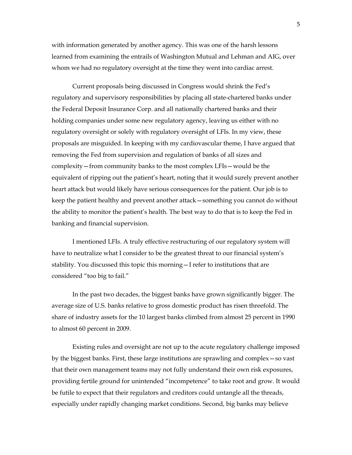with information generated by another agency. This was one of the harsh lessons learned from examining the entrails of Washington Mutual and Lehman and AIG, over whom we had no regulatory oversight at the time they went into cardiac arrest.

Current proposals being discussed in Congress would shrink the Fed's regulatory and supervisory responsibilities by placing all state-chartered banks under the Federal Deposit Insurance Corp. and all nationally chartered banks and their holding companies under some new regulatory agency, leaving us either with no regulatory oversight or solely with regulatory oversight of LFIs. In my view, these proposals are misguided. In keeping with my cardiovascular theme, I have argued that removing the Fed from supervision and regulation of banks of all sizes and complexity—from community banks to the most complex LFIs—would be the equivalent of ripping out the patient's heart, noting that it would surely prevent another heart attack but would likely have serious consequences for the patient. Our job is to keep the patient healthy and prevent another attack—something you cannot do without the ability to monitor the patient's health. The best way to do that is to keep the Fed in banking and financial supervision.

I mentioned LFIs. A truly effective restructuring of our regulatory system will have to neutralize what I consider to be the greatest threat to our financial system's stability. You discussed this topic this morning—I refer to institutions that are considered "too big to fail."

In the past two decades, the biggest banks have grown significantly bigger. The average size of U.S. banks relative to gross domestic product has risen threefold. The share of industry assets for the 10 largest banks climbed from almost 25 percent in 1990 to almost 60 percent in 2009.

Existing rules and oversight are not up to the acute regulatory challenge imposed by the biggest banks. First, these large institutions are sprawling and complex—so vast that their own management teams may not fully understand their own risk exposures, providing fertile ground for unintended "incompetence" to take root and grow. It would be futile to expect that their regulators and creditors could untangle all the threads, especially under rapidly changing market conditions. Second, big banks may believe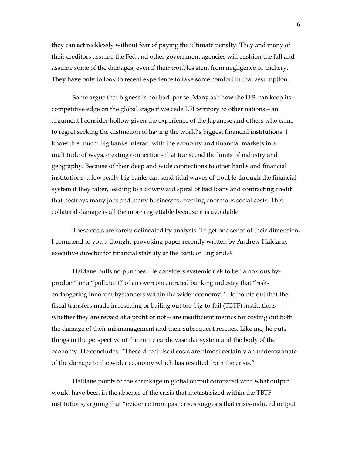they can act recklessly without fear of paying the ultimate penalty. They and many of their creditors assume the Fed and other government agencies will cushion the fall and assume some of the damages, even if their troubles stem from negligence or trickery. They have only to look to recent experience to take some comfort in that assumption.

Some argue that bigness is not bad, per se. Many ask how the U.S. can keep its competitive edge on the global stage if we cede LFI territory to other nations—an argument I consider hollow given the experience of the Japanese and others who came to regret seeking the distinction of having the world's biggest financial institutions. I know this much: Big banks interact with the economy and financial markets in a multitude of ways, creating connections that transcend the limits of industry and geography. Because of their deep and wide connections to other banks and financial institutions, a few really big banks can send tidal waves of trouble through the financial system if they falter, leading to a downward spiral of bad loans and contracting credit that destroys many jobs and many businesses, creating enormous social costs. This collateral damage is all the more regrettable because it is avoidable.

These costs are rarely delineated by analysts. To get one sense of their dimension, I commend to you a thought-provoking paper recently written by Andrew Haldane, executive director for financial stability at the Bank of England.10

Haldane pulls no punches. He considers systemic risk to be "a noxious byproduct" or a "pollutant" of an overconcentrated banking industry that "risks endangering innocent bystanders within the wider economy." He points out that the fiscal transfers made in rescuing or bailing out too-big-to-fail (TBTF) institutions whether they are repaid at a profit or not—are insufficient metrics for costing out both the damage of their mismanagement and their subsequent rescues. Like me, he puts things in the perspective of the entire cardiovascular system and the body of the economy. He concludes: "These direct fiscal costs are almost certainly an underestimate of the damage to the wider economy which has resulted from the crisis."

Haldane points to the shrinkage in global output compared with what output would have been in the absence of the crisis that metastasized within the TBTF institutions, arguing that "evidence from past crises suggests that crisis-induced output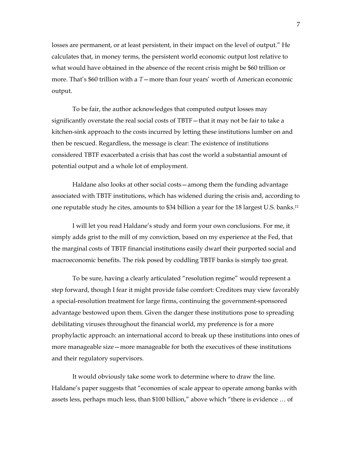losses are permanent, or at least persistent, in their impact on the level of output." He calculates that, in money terms, the persistent world economic output lost relative to what would have obtained in the absence of the recent crisis might be \$60 trillion or more. That's \$60 trillion with a *T*—more than four years' worth of American economic output.

To be fair, the author acknowledges that computed output losses may significantly overstate the real social costs of TBTF—that it may not be fair to take a kitchen-sink approach to the costs incurred by letting these institutions lumber on and then be rescued. Regardless, the message is clear: The existence of institutions considered TBTF exacerbated a crisis that has cost the world a substantial amount of potential output and a whole lot of employment.

Haldane also looks at other social costs—among them the funding advantage associated with TBTF institutions, which has widened during the crisis and, according to one reputable study he cites, amounts to \$34 billion a year for the 18 largest U.S. banks.11

I will let you read Haldane's study and form your own conclusions. For me, it simply adds grist to the mill of my conviction, based on my experience at the Fed, that the marginal costs of TBTF financial institutions easily dwarf their purported social and macroeconomic benefits. The risk posed by coddling TBTF banks is simply too great.

To be sure, having a clearly articulated "resolution regime" would represent a step forward, though I fear it might provide false comfort: Creditors may view favorably a special-resolution treatment for large firms, continuing the government-sponsored advantage bestowed upon them. Given the danger these institutions pose to spreading debilitating viruses throughout the financial world, my preference is for a more prophylactic approach: an international accord to break up these institutions into ones of more manageable size—more manageable for both the executives of these institutions and their regulatory supervisors.

It would obviously take some work to determine where to draw the line. Haldane's paper suggests that "economies of scale appear to operate among banks with assets less, perhaps much less, than \$100 billion," above which "there is evidence … of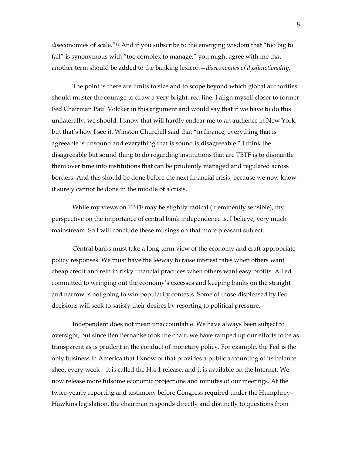*dis*economies of scale."12 And if you subscribe to the emerging wisdom that "too big to fail" is synonymous with "too complex to manage," you might agree with me that another term should be added to the banking lexicon—*diseconomies of dysfunctionality*.

The point is there are limits to size and to scope beyond which global authorities should muster the courage to draw a very bright, red line. I align myself closer to former Fed Chairman Paul Volcker in this argument and would say that if we have to do this unilaterally, we should. I know that will hardly endear me to an audience in New York, but that's how I see it. Winston Churchill said that "in finance, everything that is agreeable is unsound and everything that is sound is disagreeable." I think the disagreeable but sound thing to do regarding institutions that are TBTF is to dismantle them over time into institutions that can be prudently managed and regulated across borders. And this should be done before the next financial crisis, because we now know it surely cannot be done in the middle of a crisis.

While my views on TBTF may be slightly radical (if eminently sensible), my perspective on the importance of central bank independence is, I believe, very much mainstream. So I will conclude these musings on that more pleasant subject.

Central banks must take a long-term view of the economy and craft appropriate policy responses. We must have the leeway to raise interest rates when others want cheap credit and rein in risky financial practices when others want easy profits. A Fed committed to wringing out the economy's excesses and keeping banks on the straight and narrow is not going to win popularity contests. Some of those displeased by Fed decisions will seek to satisfy their desires by resorting to political pressure.

Independent does not mean unaccountable. We have always been subject to oversight, but since Ben Bernanke took the chair, we have ramped up our efforts to be as transparent as is prudent in the conduct of monetary policy. For example, the Fed is the only business in America that I know of that provides a public accounting of its balance sheet every week—it is called the H.4.1 release, and it is available on the Internet. We now release more fulsome economic projections and minutes of our meetings. At the twice-yearly reporting and testimony before Congress required under the Humphrey– Hawkins legislation, the chairman responds directly and distinctly to questions from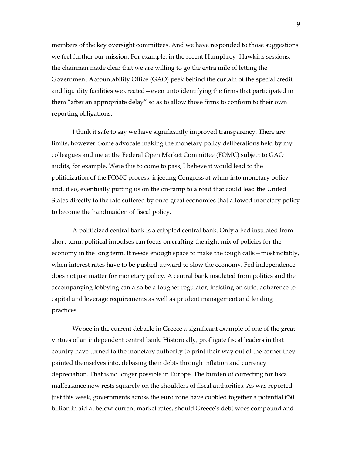members of the key oversight committees. And we have responded to those suggestions we feel further our mission. For example, in the recent Humphrey–Hawkins sessions, the chairman made clear that we are willing to go the extra mile of letting the Government Accountability Office (GAO) peek behind the curtain of the special credit and liquidity facilities we created—even unto identifying the firms that participated in them "after an appropriate delay" so as to allow those firms to conform to their own reporting obligations.

I think it safe to say we have significantly improved transparency. There are limits, however. Some advocate making the monetary policy deliberations held by my colleagues and me at the Federal Open Market Committee (FOMC) subject to GAO audits, for example. Were this to come to pass, I believe it would lead to the politicization of the FOMC process, injecting Congress at whim into monetary policy and, if so, eventually putting us on the on-ramp to a road that could lead the United States directly to the fate suffered by once-great economies that allowed monetary policy to become the handmaiden of fiscal policy.

A politicized central bank is a crippled central bank. Only a Fed insulated from short-term, political impulses can focus on crafting the right mix of policies for the economy in the long term. It needs enough space to make the tough calls—most notably, when interest rates have to be pushed upward to slow the economy. Fed independence does not just matter for monetary policy. A central bank insulated from politics and the accompanying lobbying can also be a tougher regulator, insisting on strict adherence to capital and leverage requirements as well as prudent management and lending practices.

We see in the current debacle in Greece a significant example of one of the great virtues of an independent central bank. Historically, profligate fiscal leaders in that country have turned to the monetary authority to print their way out of the corner they painted themselves into, debasing their debts through inflation and currency depreciation. That is no longer possible in Europe. The burden of correcting for fiscal malfeasance now rests squarely on the shoulders of fiscal authorities. As was reported just this week, governments across the euro zone have cobbled together a potential €30 billion in aid at below-current market rates, should Greece's debt woes compound and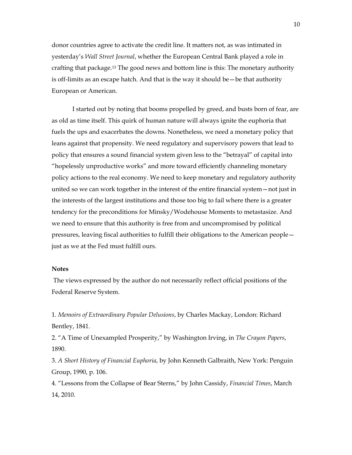donor countries agree to activate the credit line. It matters not, as was intimated in yesterday's *Wall Street Journal*, whether the European Central Bank played a role in crafting that package.13 The good news and bottom line is this: The monetary authority is off-limits as an escape hatch. And that is the way it should be—be that authority European or American.

I started out by noting that booms propelled by greed, and busts born of fear, are as old as time itself. This quirk of human nature will always ignite the euphoria that fuels the ups and exacerbates the downs. Nonetheless, we need a monetary policy that leans against that propensity. We need regulatory and supervisory powers that lead to policy that ensures a sound financial system given less to the "betrayal" of capital into "hopelessly unproductive works" and more toward efficiently channeling monetary policy actions to the real economy. We need to keep monetary and regulatory authority united so we can work together in the interest of the entire financial system—not just in the interests of the largest institutions and those too big to fail where there is a greater tendency for the preconditions for Minsky/Wodehouse Moments to metastasize. And we need to ensure that this authority is free from and uncompromised by political pressures, leaving fiscal authorities to fulfill their obligations to the American people just as we at the Fed must fulfill ours.

## **Notes**

 The views expressed by the author do not necessarily reflect official positions of the Federal Reserve System.

1. *Memoirs of Extraordinary Popular Delusions*, by Charles Mackay, London: Richard Bentley, 1841.

2. "A Time of Unexampled Prosperity," by Washington Irving, in *The Crayon Papers*, 1890.

3. *A Short History of Financial Euphoria*, by John Kenneth Galbraith, New York: Penguin Group, 1990, p. 106.

4. "Lessons from the Collapse of Bear Sterns," by John Cassidy, *Financial Times*, March 14, 2010.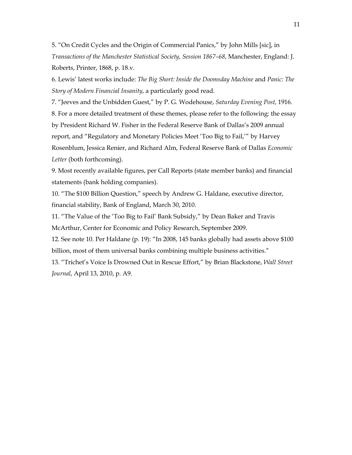5. "On Credit Cycles and the Origin of Commercial Panics," by John Mills [sic], in *Transactions of the Manchester Statistical Society, Session 1867–68*, Manchester, England: J. Roberts, Printer, 1868, p. 18.v.

6. Lewis' latest works include: *The Big Short: Inside the Doomsday Machine* and *Panic: The Story of Modern Financial Insanity*, a particularly good read.

7. "Jeeves and the Unbidden Guest," by P. G. Wodehouse, *Saturday Evening Post*, 1916. 8. For a more detailed treatment of these themes, please refer to the following: the essay by President Richard W. Fisher in the Federal Reserve Bank of Dallas's 2009 annual report, and "Regulatory and Monetary Policies Meet 'Too Big to Fail,'" by Harvey Rosenblum, Jessica Renier, and Richard Alm, Federal Reserve Bank of Dallas *Economic Letter* (both forthcoming).

9. Most recently available figures, per Call Reports (state member banks) and financial statements (bank holding companies).

10. "The \$100 Billion Question," speech by Andrew G. Haldane, executive director, financial stability, Bank of England, March 30, 2010.

11. "The Value of the 'Too Big to Fail' Bank Subsidy," by Dean Baker and Travis McArthur, Center for Economic and Policy Research, September 2009.

12. See note 10. Per Haldane (p. 19): "In 2008, 145 banks globally had assets above \$100 billion, most of them universal banks combining multiple business activities."

13. "Trichet's Voice Is Drowned Out in Rescue Effort," by Brian Blackstone, *Wall Street Journal*, April 13, 2010, p. A9.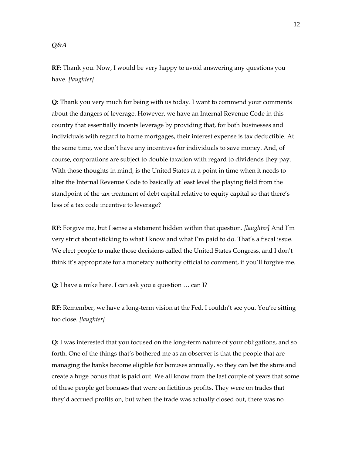## *Q&A*

**RF:** Thank you. Now, I would be very happy to avoid answering any questions you have. *[laughter]* 

**Q:** Thank you very much for being with us today. I want to commend your comments about the dangers of leverage. However, we have an Internal Revenue Code in this country that essentially incents leverage by providing that, for both businesses and individuals with regard to home mortgages, their interest expense is tax deductible. At the same time, we don't have any incentives for individuals to save money. And, of course, corporations are subject to double taxation with regard to dividends they pay. With those thoughts in mind, is the United States at a point in time when it needs to alter the Internal Revenue Code to basically at least level the playing field from the standpoint of the tax treatment of debt capital relative to equity capital so that there's less of a tax code incentive to leverage?

**RF:** Forgive me, but I sense a statement hidden within that question. *[laughter]* And I'm very strict about sticking to what I know and what I'm paid to do. That's a fiscal issue. We elect people to make those decisions called the United States Congress, and I don't think it's appropriate for a monetary authority official to comment, if you'll forgive me.

**Q:** I have a mike here. I can ask you a question … can I?

**RF:** Remember, we have a long-term vision at the Fed. I couldn't see you. You're sitting too close. *[laughter]*

**Q:** I was interested that you focused on the long-term nature of your obligations, and so forth. One of the things that's bothered me as an observer is that the people that are managing the banks become eligible for bonuses annually, so they can bet the store and create a huge bonus that is paid out. We all know from the last couple of years that some of these people got bonuses that were on fictitious profits. They were on trades that they'd accrued profits on, but when the trade was actually closed out, there was no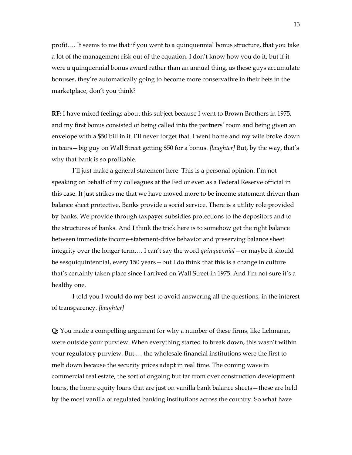profit.… It seems to me that if you went to a quinquennial bonus structure, that you take a lot of the management risk out of the equation. I don't know how you do it, but if it were a quinquennial bonus award rather than an annual thing, as these guys accumulate bonuses, they're automatically going to become more conservative in their bets in the marketplace, don't you think?

**RF:** I have mixed feelings about this subject because I went to Brown Brothers in 1975, and my first bonus consisted of being called into the partners' room and being given an envelope with a \$50 bill in it. I'll never forget that. I went home and my wife broke down in tears—big guy on Wall Street getting \$50 for a bonus. *[laughter]* But, by the way, that's why that bank is so profitable.

I'll just make a general statement here. This is a personal opinion. I'm not speaking on behalf of my colleagues at the Fed or even as a Federal Reserve official in this case. It just strikes me that we have moved more to be income statement driven than balance sheet protective. Banks provide a social service. There is a utility role provided by banks. We provide through taxpayer subsidies protections to the depositors and to the structures of banks. And I think the trick here is to somehow get the right balance between immediate income-statement-drive behavior and preserving balance sheet integrity over the longer term…. I can't say the word *quinquennial—*or maybe it should be sesquiquintennial, every 150 years—but I do think that this is a change in culture that's certainly taken place since I arrived on Wall Street in 1975. And I'm not sure it's a healthy one.

I told you I would do my best to avoid answering all the questions, in the interest of transparency. *[laughter]*

**Q:** You made a compelling argument for why a number of these firms, like Lehmann, were outside your purview. When everything started to break down, this wasn't within your regulatory purview. But … the wholesale financial institutions were the first to melt down because the security prices adapt in real time. The coming wave in commercial real estate, the sort of ongoing but far from over construction development loans, the home equity loans that are just on vanilla bank balance sheets—these are held by the most vanilla of regulated banking institutions across the country. So what have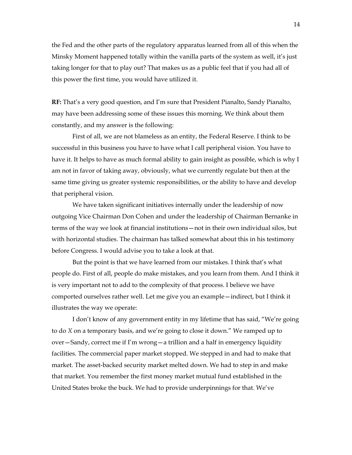the Fed and the other parts of the regulatory apparatus learned from all of this when the Minsky Moment happened totally within the vanilla parts of the system as well, it's just taking longer for that to play out? That makes us as a public feel that if you had all of this power the first time, you would have utilized it.

**RF:** That's a very good question, and I'm sure that President Pianalto, Sandy Pianalto, may have been addressing some of these issues this morning. We think about them constantly, and my answer is the following:

First of all, we are not blameless as an entity, the Federal Reserve. I think to be successful in this business you have to have what I call peripheral vision. You have to have it. It helps to have as much formal ability to gain insight as possible, which is why I am not in favor of taking away, obviously, what we currently regulate but then at the same time giving us greater systemic responsibilities, or the ability to have and develop that peripheral vision.

We have taken significant initiatives internally under the leadership of now outgoing Vice Chairman Don Cohen and under the leadership of Chairman Bernanke in terms of the way we look at financial institutions—not in their own individual silos, but with horizontal studies. The chairman has talked somewhat about this in his testimony before Congress. I would advise you to take a look at that.

But the point is that we have learned from our mistakes. I think that's what people do. First of all, people do make mistakes, and you learn from them. And I think it is very important not to add to the complexity of that process. I believe we have comported ourselves rather well. Let me give you an example—indirect, but I think it illustrates the way we operate:

I don't know of any government entity in my lifetime that has said, "We're going to do *X* on a temporary basis, and we're going to close it down." We ramped up to over—Sandy, correct me if I'm wrong—a trillion and a half in emergency liquidity facilities. The commercial paper market stopped. We stepped in and had to make that market. The asset-backed security market melted down. We had to step in and make that market. You remember the first money market mutual fund established in the United States broke the buck. We had to provide underpinnings for that. We've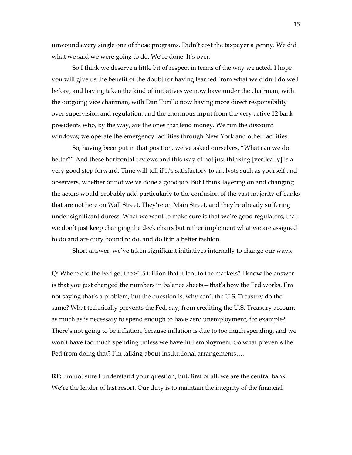unwound every single one of those programs. Didn't cost the taxpayer a penny. We did what we said we were going to do. We're done. It's over.

So I think we deserve a little bit of respect in terms of the way we acted. I hope you will give us the benefit of the doubt for having learned from what we didn't do well before, and having taken the kind of initiatives we now have under the chairman, with the outgoing vice chairman, with Dan Turillo now having more direct responsibility over supervision and regulation, and the enormous input from the very active 12 bank presidents who, by the way, are the ones that lend money. We run the discount windows; we operate the emergency facilities through New York and other facilities.

So, having been put in that position, we've asked ourselves, "What can we do better?" And these horizontal reviews and this way of not just thinking [vertically] is a very good step forward. Time will tell if it's satisfactory to analysts such as yourself and observers, whether or not we've done a good job. But I think layering on and changing the actors would probably add particularly to the confusion of the vast majority of banks that are not here on Wall Street. They're on Main Street, and they're already suffering under significant duress. What we want to make sure is that we're good regulators, that we don't just keep changing the deck chairs but rather implement what we are assigned to do and are duty bound to do, and do it in a better fashion.

Short answer: we've taken significant initiatives internally to change our ways.

**Q:** Where did the Fed get the \$1.5 trillion that it lent to the markets? I know the answer is that you just changed the numbers in balance sheets—that's how the Fed works. I'm not saying that's a problem, but the question is, why can't the U.S. Treasury do the same? What technically prevents the Fed, say, from crediting the U.S. Treasury account as much as is necessary to spend enough to have zero unemployment, for example? There's not going to be inflation, because inflation is due to too much spending, and we won't have too much spending unless we have full employment. So what prevents the Fed from doing that? I'm talking about institutional arrangements....

**RF:** I'm not sure I understand your question, but, first of all, we are the central bank. We're the lender of last resort. Our duty is to maintain the integrity of the financial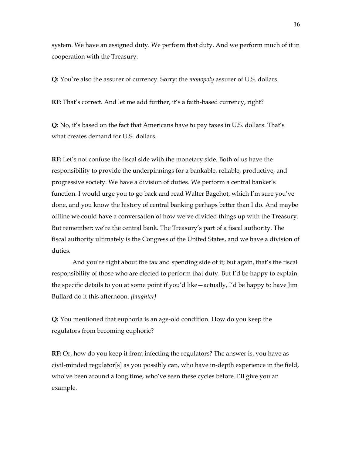system. We have an assigned duty. We perform that duty. And we perform much of it in cooperation with the Treasury.

**Q:** You're also the assurer of currency. Sorry: the *monopoly* assurer of U.S. dollars.

**RF:** That's correct. And let me add further, it's a faith-based currency, right?

**Q:** No, it's based on the fact that Americans have to pay taxes in U.S. dollars. That's what creates demand for U.S. dollars.

**RF:** Let's not confuse the fiscal side with the monetary side. Both of us have the responsibility to provide the underpinnings for a bankable, reliable, productive, and progressive society. We have a division of duties. We perform a central banker's function. I would urge you to go back and read Walter Bagehot, which I'm sure you've done, and you know the history of central banking perhaps better than I do. And maybe offline we could have a conversation of how we've divided things up with the Treasury. But remember: we're the central bank. The Treasury's part of a fiscal authority. The fiscal authority ultimately is the Congress of the United States, and we have a division of duties.

And you're right about the tax and spending side of it; but again, that's the fiscal responsibility of those who are elected to perform that duty. But I'd be happy to explain the specific details to you at some point if you'd like—actually, I'd be happy to have Jim Bullard do it this afternoon. *[laughter]*

**Q:** You mentioned that euphoria is an age-old condition. How do you keep the regulators from becoming euphoric?

**RF:** Or, how do you keep it from infecting the regulators? The answer is, you have as civil-minded regulator[s] as you possibly can, who have in-depth experience in the field, who've been around a long time, who've seen these cycles before. I'll give you an example.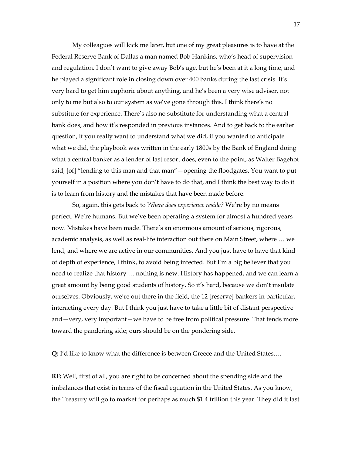My colleagues will kick me later, but one of my great pleasures is to have at the Federal Reserve Bank of Dallas a man named Bob Hankins, who's head of supervision and regulation. I don't want to give away Bob's age, but he's been at it a long time, and he played a significant role in closing down over 400 banks during the last crisis. It's very hard to get him euphoric about anything, and he's been a very wise adviser, not only to me but also to our system as we've gone through this. I think there's no substitute for experience. There's also no substitute for understanding what a central bank does, and how it's responded in previous instances. And to get back to the earlier question, if you really want to understand what we did, if you wanted to anticipate what we did, the playbook was written in the early 1800s by the Bank of England doing what a central banker as a lender of last resort does, even to the point, as Walter Bagehot said, [of] "lending to this man and that man"—opening the floodgates. You want to put yourself in a position where you don't have to do that, and I think the best way to do it is to learn from history and the mistakes that have been made before.

So, again, this gets back to *Where does experience reside?* We're by no means perfect. We're humans. But we've been operating a system for almost a hundred years now. Mistakes have been made. There's an enormous amount of serious, rigorous, academic analysis, as well as real-life interaction out there on Main Street, where … we lend, and where we are active in our communities. And you just have to have that kind of depth of experience, I think, to avoid being infected. But I'm a big believer that you need to realize that history … nothing is new. History has happened, and we can learn a great amount by being good students of history. So it's hard, because we don't insulate ourselves. Obviously, we're out there in the field, the 12 [reserve] bankers in particular, interacting every day. But I think you just have to take a little bit of distant perspective and—very, very important—we have to be free from political pressure. That tends more toward the pandering side; ours should be on the pondering side.

**Q:** I'd like to know what the difference is between Greece and the United States….

**RF:** Well, first of all, you are right to be concerned about the spending side and the imbalances that exist in terms of the fiscal equation in the United States. As you know, the Treasury will go to market for perhaps as much \$1.4 trillion this year. They did it last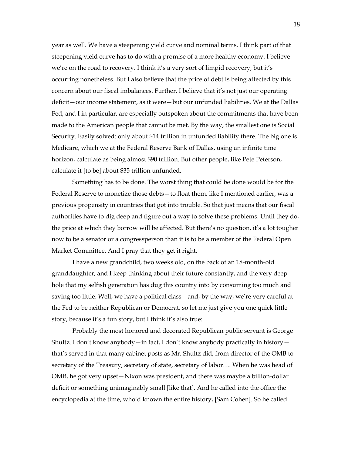year as well. We have a steepening yield curve and nominal terms. I think part of that steepening yield curve has to do with a promise of a more healthy economy. I believe we're on the road to recovery. I think it's a very sort of limpid recovery, but it's occurring nonetheless. But I also believe that the price of debt is being affected by this concern about our fiscal imbalances. Further, I believe that it's not just our operating deficit—our income statement, as it were—but our unfunded liabilities. We at the Dallas Fed, and I in particular, are especially outspoken about the commitments that have been made to the American people that cannot be met. By the way, the smallest one is Social Security. Easily solved: only about \$14 trillion in unfunded liability there. The big one is Medicare, which we at the Federal Reserve Bank of Dallas, using an infinite time horizon, calculate as being almost \$90 trillion. But other people, like Pete Peterson, calculate it [to be] about \$35 trillion unfunded.

Something has to be done. The worst thing that could be done would be for the Federal Reserve to monetize those debts—to float them, like I mentioned earlier, was a previous propensity in countries that got into trouble. So that just means that our fiscal authorities have to dig deep and figure out a way to solve these problems. Until they do, the price at which they borrow will be affected. But there's no question, it's a lot tougher now to be a senator or a congressperson than it is to be a member of the Federal Open Market Committee. And I pray that they get it right.

I have a new grandchild, two weeks old, on the back of an 18-month-old granddaughter, and I keep thinking about their future constantly, and the very deep hole that my selfish generation has dug this country into by consuming too much and saving too little. Well, we have a political class—and, by the way, we're very careful at the Fed to be neither Republican or Democrat, so let me just give you one quick little story, because it's a fun story, but I think it's also true:

Probably the most honored and decorated Republican public servant is George Shultz. I don't know anybody—in fact, I don't know anybody practically in history that's served in that many cabinet posts as Mr. Shultz did, from director of the OMB to secretary of the Treasury, secretary of state, secretary of labor…. When he was head of OMB, he got very upset—Nixon was president, and there was maybe a billion-dollar deficit or something unimaginably small [like that]. And he called into the office the encyclopedia at the time, who'd known the entire history, [Sam Cohen]. So he called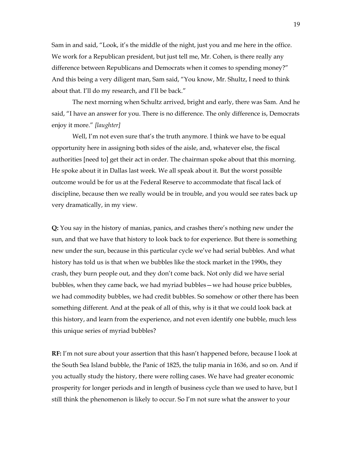Sam in and said, "Look, it's the middle of the night, just you and me here in the office. We work for a Republican president, but just tell me, Mr. Cohen, is there really any difference between Republicans and Democrats when it comes to spending money?" And this being a very diligent man, Sam said, "You know, Mr. Shultz, I need to think about that. I'll do my research, and I'll be back."

The next morning when Schultz arrived, bright and early, there was Sam. And he said, "I have an answer for you. There is no difference. The only difference is, Democrats enjoy it more." *[laughter]*

Well, I'm not even sure that's the truth anymore. I think we have to be equal opportunity here in assigning both sides of the aisle, and, whatever else, the fiscal authorities [need to] get their act in order. The chairman spoke about that this morning. He spoke about it in Dallas last week. We all speak about it. But the worst possible outcome would be for us at the Federal Reserve to accommodate that fiscal lack of discipline, because then we really would be in trouble, and you would see rates back up very dramatically, in my view.

**Q:** You say in the history of manias, panics, and crashes there's nothing new under the sun, and that we have that history to look back to for experience. But there is something new under the sun, because in this particular cycle we've had serial bubbles. And what history has told us is that when we bubbles like the stock market in the 1990s, they crash, they burn people out, and they don't come back. Not only did we have serial bubbles, when they came back, we had myriad bubbles—we had house price bubbles, we had commodity bubbles, we had credit bubbles. So somehow or other there has been something different. And at the peak of all of this, why is it that we could look back at this history, and learn from the experience, and not even identify one bubble, much less this unique series of myriad bubbles?

**RF:** I'm not sure about your assertion that this hasn't happened before, because I look at the South Sea Island bubble, the Panic of 1825, the tulip mania in 1636, and so on. And if you actually study the history, there were rolling cases. We have had greater economic prosperity for longer periods and in length of business cycle than we used to have, but I still think the phenomenon is likely to occur. So I'm not sure what the answer to your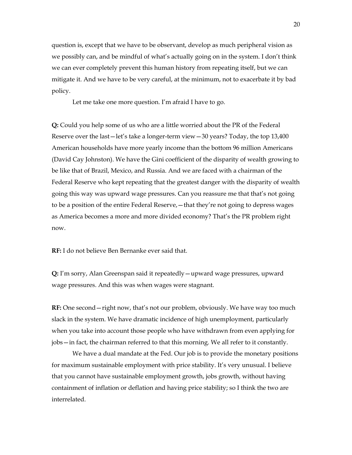question is, except that we have to be observant, develop as much peripheral vision as we possibly can, and be mindful of what's actually going on in the system. I don't think we can ever completely prevent this human history from repeating itself, but we can mitigate it. And we have to be very careful, at the minimum, not to exacerbate it by bad policy.

Let me take one more question. I'm afraid I have to go.

**Q:** Could you help some of us who are a little worried about the PR of the Federal Reserve over the last—let's take a longer-term view—30 years? Today, the top 13,400 American households have more yearly income than the bottom 96 million Americans (David Cay Johnston). We have the Gini coefficient of the disparity of wealth growing to be like that of Brazil, Mexico, and Russia. And we are faced with a chairman of the Federal Reserve who kept repeating that the greatest danger with the disparity of wealth going this way was upward wage pressures. Can you reassure me that that's not going to be a position of the entire Federal Reserve,—that they're not going to depress wages as America becomes a more and more divided economy? That's the PR problem right now.

**RF:** I do not believe Ben Bernanke ever said that.

**Q:** I'm sorry, Alan Greenspan said it repeatedly—upward wage pressures, upward wage pressures. And this was when wages were stagnant.

**RF:** One second—right now, that's not our problem, obviously. We have way too much slack in the system. We have dramatic incidence of high unemployment, particularly when you take into account those people who have withdrawn from even applying for jobs—in fact, the chairman referred to that this morning. We all refer to it constantly.

We have a dual mandate at the Fed. Our job is to provide the monetary positions for maximum sustainable employment with price stability. It's very unusual. I believe that you cannot have sustainable employment growth, jobs growth, without having containment of inflation or deflation and having price stability; so I think the two are interrelated.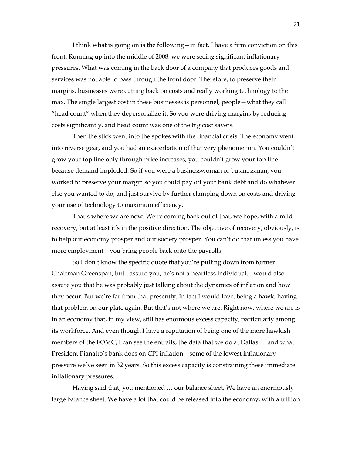I think what is going on is the following—in fact, I have a firm conviction on this front. Running up into the middle of 2008, we were seeing significant inflationary pressures. What was coming in the back door of a company that produces goods and services was not able to pass through the front door. Therefore, to preserve their margins, businesses were cutting back on costs and really working technology to the max. The single largest cost in these businesses is personnel, people—what they call "head count" when they depersonalize it. So you were driving margins by reducing costs significantly, and head count was one of the big cost savers.

Then the stick went into the spokes with the financial crisis. The economy went into reverse gear, and you had an exacerbation of that very phenomenon. You couldn't grow your top line only through price increases; you couldn't grow your top line because demand imploded. So if you were a businesswoman or businessman, you worked to preserve your margin so you could pay off your bank debt and do whatever else you wanted to do, and just survive by further clamping down on costs and driving your use of technology to maximum efficiency.

That's where we are now. We're coming back out of that, we hope, with a mild recovery, but at least it's in the positive direction. The objective of recovery, obviously, is to help our economy prosper and our society prosper. You can't do that unless you have more employment—you bring people back onto the payrolls.

So I don't know the specific quote that you're pulling down from former Chairman Greenspan, but I assure you, he's not a heartless individual. I would also assure you that he was probably just talking about the dynamics of inflation and how they occur. But we're far from that presently. In fact I would love, being a hawk, having that problem on our plate again. But that's not where we are. Right now, where we are is in an economy that, in my view, still has enormous excess capacity, particularly among its workforce. And even though I have a reputation of being one of the more hawkish members of the FOMC, I can see the entrails, the data that we do at Dallas … and what President Pianalto's bank does on CPI inflation—some of the lowest inflationary pressure we've seen in 32 years. So this excess capacity is constraining these immediate inflationary pressures.

Having said that, you mentioned … our balance sheet. We have an enormously large balance sheet. We have a lot that could be released into the economy, with a trillion